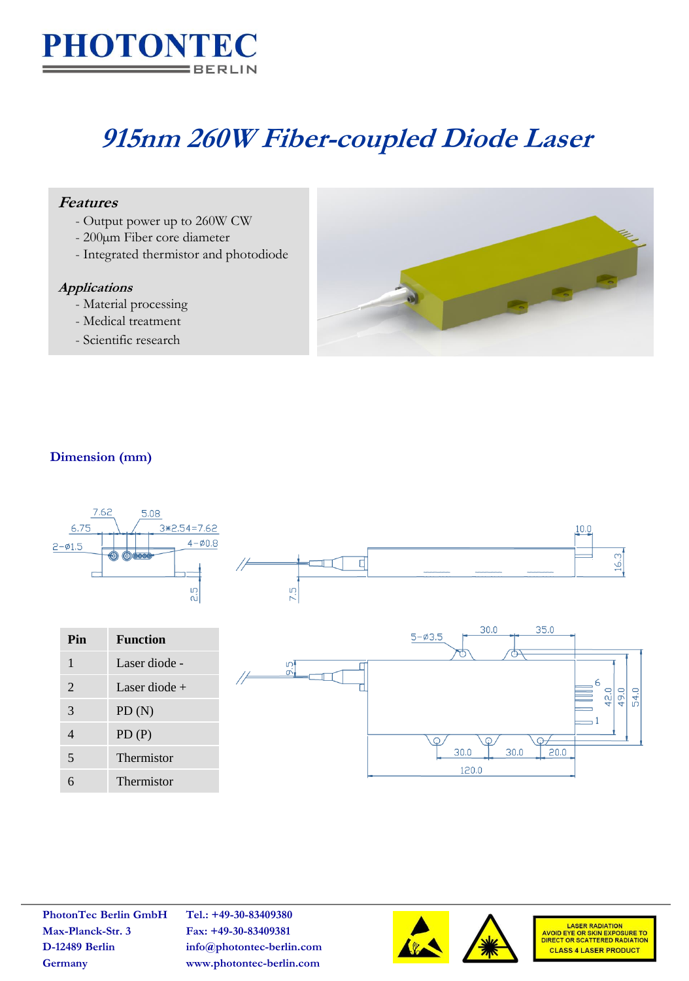# **PHOTONTEC BERLIN**

# **915nm 260W Fiber-coupled Diode Laser**

## **Features**

- Output power up to 260W CW
- 200µm Fiber core diameter
- Integrated thermistor and photodiode

#### **Applications**

- Material processing
- Medical treatment
- Scientific research



### **Dimension (mm)**



| Pin | <b>Function</b> |
|-----|-----------------|
| 1   | Laser diode -   |
| 2   | Laser diode $+$ |
| 3   | PD(N)           |
| 4   | PD(P)           |
| 5   | Thermistor      |
| h   | Thermistor      |



**PhotonTec Berlin GmbH Tel.: +49-30-83409380 Max-Planck-Str. 3 Fax: +49-30-83409381**

**D-12489 Berlin info@photontec-berlin.com Germany www.photontec-berlin.com**





LASER RADIATION<br>AVOID EYE OR SKIN EXPOSURE TO<br>DIRECT OR SCATTERED RADIATION **CLASS 4 LASER PRODUCT**